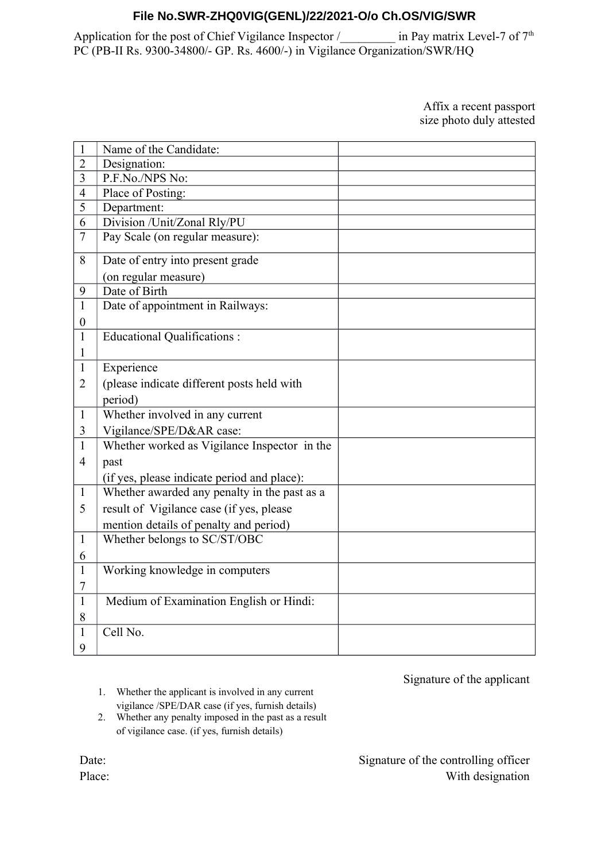# **File No.SWR-ZHQ0VIG(GENL)/22/2021-O/o Ch.OS/VIG/SWR**

Application for the post of Chief Vigilance Inspector /\_\_\_\_\_\_\_\_\_\_ in Pay matrix Level-7 of 7<sup>th</sup> PC (PB-II Rs. 9300-34800/- GP. Rs. 4600/-) in Vigilance Organization/SWR/HQ

#### Affix a recent passport size photo duly attested

| $\mathbf{1}$     | Name of the Candidate:                       |  |
|------------------|----------------------------------------------|--|
| $\overline{2}$   | Designation:                                 |  |
| $\overline{3}$   | P.F.No./NPS No:                              |  |
| $\overline{4}$   | Place of Posting:                            |  |
| 5                | Department:                                  |  |
| 6                | Division /Unit/Zonal Rly/PU                  |  |
| $\overline{7}$   | Pay Scale (on regular measure):              |  |
| 8                | Date of entry into present grade             |  |
|                  | (on regular measure)                         |  |
| 9                | Date of Birth                                |  |
| $\mathbf{1}$     | Date of appointment in Railways:             |  |
| $\boldsymbol{0}$ |                                              |  |
| $\mathbf{1}$     | <b>Educational Qualifications:</b>           |  |
| 1                |                                              |  |
| $\mathbf{1}$     | Experience                                   |  |
| $\overline{2}$   | (please indicate different posts held with   |  |
|                  | period)                                      |  |
| $\mathbf{1}$     | Whether involved in any current              |  |
| 3                | Vigilance/SPE/D&AR case:                     |  |
| $\mathbf{1}$     | Whether worked as Vigilance Inspector in the |  |
| $\overline{4}$   | past                                         |  |
|                  | (if yes, please indicate period and place):  |  |
| $\mathbf{1}$     | Whether awarded any penalty in the past as a |  |
| 5                | result of Vigilance case (if yes, please     |  |
|                  | mention details of penalty and period)       |  |
| $\mathbf{1}$     | Whether belongs to SC/ST/OBC                 |  |
| 6                |                                              |  |
| $\mathbf{1}$     | Working knowledge in computers               |  |
| 7                |                                              |  |
| $\mathbf{1}$     | Medium of Examination English or Hindi:      |  |
| 8                |                                              |  |
| 1                | Cell No.                                     |  |
| 9                |                                              |  |

Signature of the applicant

1. Whether the applicant is involved in any current vigilance /SPE/DAR case (if yes, furnish details)

2. Whether any penalty imposed in the past as a result of vigilance case. (if yes, furnish details)

> Signature of the controlling officer With designation

Date: Place: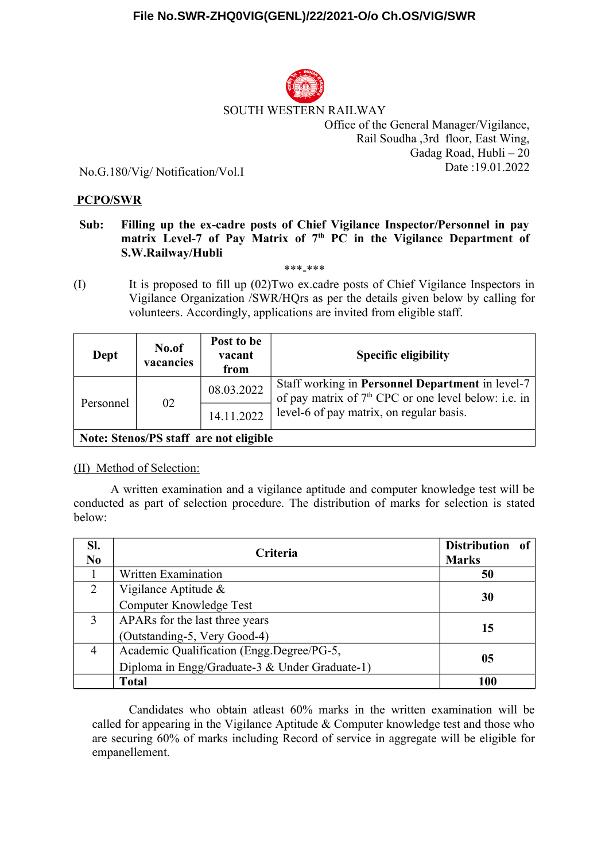

### SOUTH WESTERN RAILWAY

Office of the General Manager/Vigilance, Rail Soudha ,3rd floor, East Wing, Gadag Road, Hubli – 20 Date :19.01.2022

No.G.180/Vig/ Notification/Vol.I

### **PCPO/SWR**

## **Sub: Filling up the ex-cadre posts of Chief Vigilance Inspector/Personnel in pay matrix Level-7 of Pay Matrix of 7th PC in the Vigilance Department of S.W.Railway/Hubli**

\*\*\*-\*\*\*

(I) It is proposed to fill up (02)Two ex.cadre posts of Chief Vigilance Inspectors in Vigilance Organization /SWR/HQrs as per the details given below by calling for volunteers. Accordingly, applications are invited from eligible staff.

| Dept                                   | No.of<br>vacancies | Post to be<br>vacant<br>from | <b>Specific eligibility</b>                                                                                                 |  |  |  |
|----------------------------------------|--------------------|------------------------------|-----------------------------------------------------------------------------------------------------------------------------|--|--|--|
| Personnel                              | 02                 | 08.03.2022                   | Staff working in <b>Personnel Department</b> in level-7<br>of pay matrix of 7 <sup>th</sup> CPC or one level below: i.e. in |  |  |  |
|                                        |                    | 14.11.2022                   | level-6 of pay matrix, on regular basis.                                                                                    |  |  |  |
| Note: Stenos/PS staff are not eligible |                    |                              |                                                                                                                             |  |  |  |

(II) Method of Selection:

A written examination and a vigilance aptitude and computer knowledge test will be conducted as part of selection procedure. The distribution of marks for selection is stated below:

| Sl.<br>N <sub>0</sub> | Criteria                                       | Distribution of<br><b>Marks</b> |  |
|-----------------------|------------------------------------------------|---------------------------------|--|
|                       | <b>Written Examination</b>                     | 50                              |  |
| $\overline{2}$        | Vigilance Aptitude $\&$                        | 30                              |  |
|                       | Computer Knowledge Test                        |                                 |  |
| 3                     | APARs for the last three years                 | 15                              |  |
|                       | (Outstanding-5, Very Good-4)                   |                                 |  |
| 4                     | Academic Qualification (Engg.Degree/PG-5,      | 05                              |  |
|                       | Diploma in Engg/Graduate-3 & Under Graduate-1) |                                 |  |
|                       | <b>Total</b>                                   | 100                             |  |

Candidates who obtain atleast 60% marks in the written examination will be called for appearing in the Vigilance Aptitude & Computer knowledge test and those who are securing 60% of marks including Record of service in aggregate will be eligible for empanellement.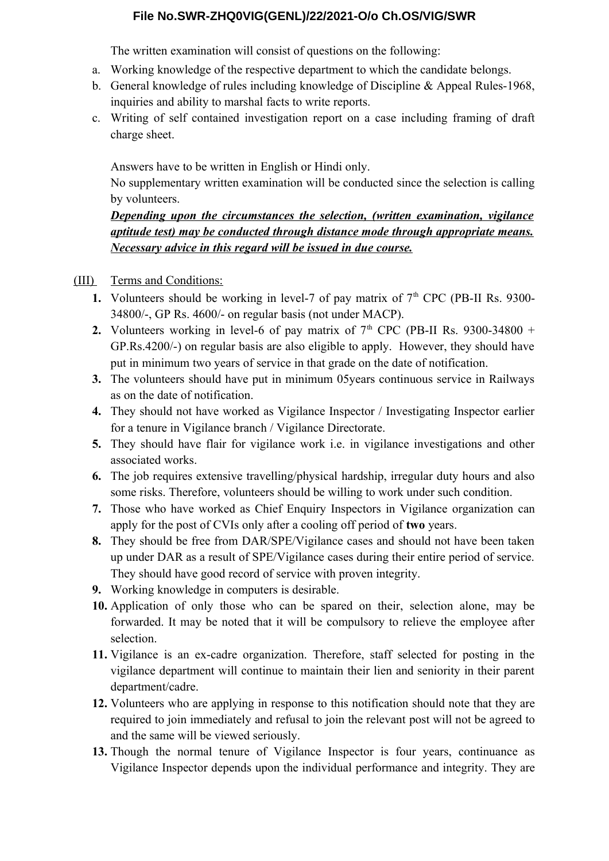# **File No.SWR-ZHQ0VIG(GENL)/22/2021-O/o Ch.OS/VIG/SWR**

The written examination will consist of questions on the following:

- a. Working knowledge of the respective department to which the candidate belongs.
- b. General knowledge of rules including knowledge of Discipline & Appeal Rules-1968, inquiries and ability to marshal facts to write reports.
- c. Writing of self contained investigation report on a case including framing of draft charge sheet.

Answers have to be written in English or Hindi only.

No supplementary written examination will be conducted since the selection is calling by volunteers.

*Depending upon the circumstances the selection, (written examination, vigilance aptitude test) may be conducted through distance mode through appropriate means. Necessary advice in this regard will be issued in due course.*

(III) Terms and Conditions:

- **1.** Volunteers should be working in level-7 of pay matrix of  $7<sup>th</sup>$  CPC (PB-II Rs. 9300-34800/-, GP Rs. 4600/- on regular basis (not under MACP).
- **2.** Volunteers working in level-6 of pay matrix of  $7<sup>th</sup>$  CPC (PB-II Rs. 9300-34800 + GP.Rs.4200/-) on regular basis are also eligible to apply. However, they should have put in minimum two years of service in that grade on the date of notification.
- **3.** The volunteers should have put in minimum 05years continuous service in Railways as on the date of notification.
- **4.** They should not have worked as Vigilance Inspector / Investigating Inspector earlier for a tenure in Vigilance branch / Vigilance Directorate.
- **5.** They should have flair for vigilance work i.e. in vigilance investigations and other associated works.
- **6.** The job requires extensive travelling/physical hardship, irregular duty hours and also some risks. Therefore, volunteers should be willing to work under such condition.
- **7.** Those who have worked as Chief Enquiry Inspectors in Vigilance organization can apply for the post of CVIs only after a cooling off period of **two** years.
- **8.** They should be free from DAR/SPE/Vigilance cases and should not have been taken up under DAR as a result of SPE/Vigilance cases during their entire period of service. They should have good record of service with proven integrity.
- **9.** Working knowledge in computers is desirable.
- **10.** Application of only those who can be spared on their, selection alone, may be forwarded. It may be noted that it will be compulsory to relieve the employee after selection.
- **11.** Vigilance is an ex-cadre organization. Therefore, staff selected for posting in the vigilance department will continue to maintain their lien and seniority in their parent department/cadre.
- **12.** Volunteers who are applying in response to this notification should note that they are required to join immediately and refusal to join the relevant post will not be agreed to and the same will be viewed seriously.
- **13.** Though the normal tenure of Vigilance Inspector is four years, continuance as Vigilance Inspector depends upon the individual performance and integrity. They are